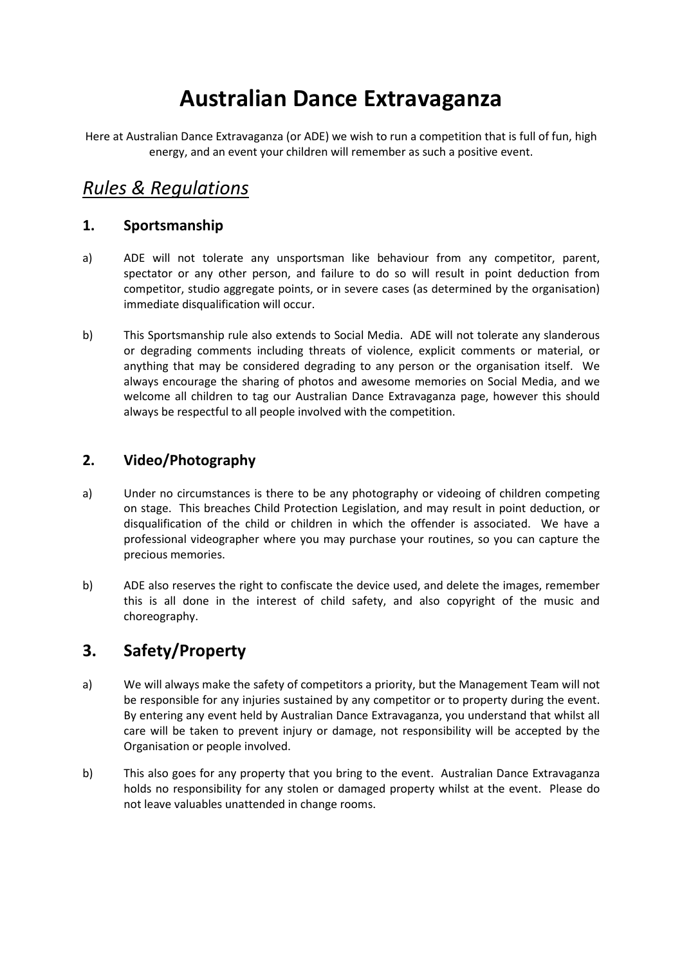# **Australian Dance Extravaganza**

Here at Australian Dance Extravaganza (or ADE) we wish to run a competition that is full of fun, high energy, and an event your children will remember as such a positive event.

## *Rules & Regulations*

#### **1. Sportsmanship**

- a) ADE will not tolerate any unsportsman like behaviour from any competitor, parent, spectator or any other person, and failure to do so will result in point deduction from competitor, studio aggregate points, or in severe cases (as determined by the organisation) immediate disqualification will occur.
- b) This Sportsmanship rule also extends to Social Media. ADE will not tolerate any slanderous or degrading comments including threats of violence, explicit comments or material, or anything that may be considered degrading to any person or the organisation itself. We always encourage the sharing of photos and awesome memories on Social Media, and we welcome all children to tag our Australian Dance Extravaganza page, however this should always be respectful to all people involved with the competition.

#### **2. Video/Photography**

- a) Under no circumstances is there to be any photography or videoing of children competing on stage. This breaches Child Protection Legislation, and may result in point deduction, or disqualification of the child or children in which the offender is associated. We have a professional videographer where you may purchase your routines, so you can capture the precious memories.
- b) ADE also reserves the right to confiscate the device used, and delete the images, remember this is all done in the interest of child safety, and also copyright of the music and choreography.

## **3. Safety/Property**

- a) We will always make the safety of competitors a priority, but the Management Team will not be responsible for any injuries sustained by any competitor or to property during the event. By entering any event held by Australian Dance Extravaganza, you understand that whilst all care will be taken to prevent injury or damage, not responsibility will be accepted by the Organisation or people involved.
- b) This also goes for any property that you bring to the event. Australian Dance Extravaganza holds no responsibility for any stolen or damaged property whilst at the event. Please do not leave valuables unattended in change rooms.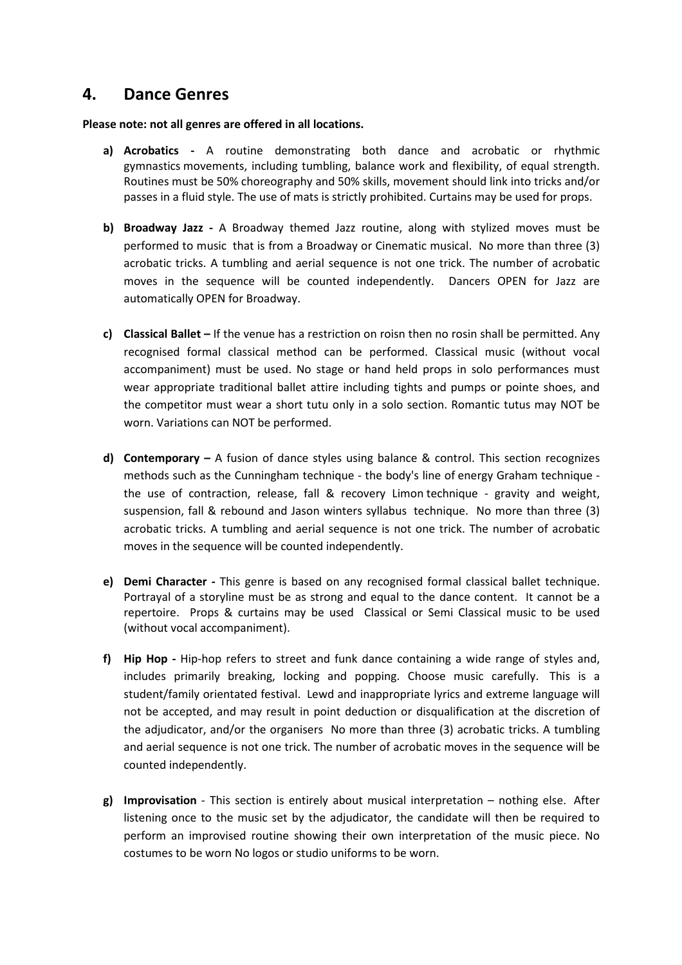#### **4. Dance Genres**

**Please note: not all genres are offered in all locations.** 

- **a) Acrobatics** A routine demonstrating both dance and acrobatic or rhythmic gymnastics movements, including tumbling, balance work and flexibility, of equal strength. Routines must be 50% choreography and 50% skills, movement should link into tricks and/or passes in a fluid style. The use of mats is strictly prohibited. Curtains may be used for props.
- **b) Broadway Jazz** A Broadway themed Jazz routine, along with stylized moves must be performed to music that is from a Broadway or Cinematic musical. No more than three (3) acrobatic tricks. A tumbling and aerial sequence is not one trick. The number of acrobatic moves in the sequence will be counted independently. Dancers OPEN for Jazz are automatically OPEN for Broadway.
- **c) Classical Ballet** If the venue has a restriction on roisn then no rosin shall be permitted. Any recognised formal classical method can be performed. Classical music (without vocal accompaniment) must be used. No stage or hand held props in solo performances must wear appropriate traditional ballet attire including tights and pumps or pointe shoes, and the competitor must wear a short tutu only in a solo section. Romantic tutus may NOT be worn. Variations can NOT be performed.
- **d) Contemporary** A fusion of dance styles using balance & control. This section recognizes methods such as the Cunningham technique - the body's line of energy Graham technique the use of contraction, release, fall & recovery Limon technique - gravity and weight, suspension, fall & rebound and Jason winters syllabus technique. No more than three (3) acrobatic tricks. A tumbling and aerial sequence is not one trick. The number of acrobatic moves in the sequence will be counted independently.
- **e) Demi Character** This genre is based on any recognised formal classical ballet technique. Portrayal of a storyline must be as strong and equal to the dance content. It cannot be a repertoire. Props & curtains may be used Classical or Semi Classical music to be used (without vocal accompaniment).
- **f) Hip Hop** Hip-hop refers to street and funk dance containing a wide range of styles and, includes primarily breaking, locking and popping. Choose music carefully. This is a student/family orientated festival. Lewd and inappropriate lyrics and extreme language will not be accepted, and may result in point deduction or disqualification at the discretion of the adjudicator, and/or the organisers No more than three (3) acrobatic tricks. A tumbling and aerial sequence is not one trick. The number of acrobatic moves in the sequence will be counted independently.
- **g) Improvisation** This section is entirely about musical interpretation nothing else. After listening once to the music set by the adjudicator, the candidate will then be required to perform an improvised routine showing their own interpretation of the music piece. No costumes to be worn No logos or studio uniforms to be worn.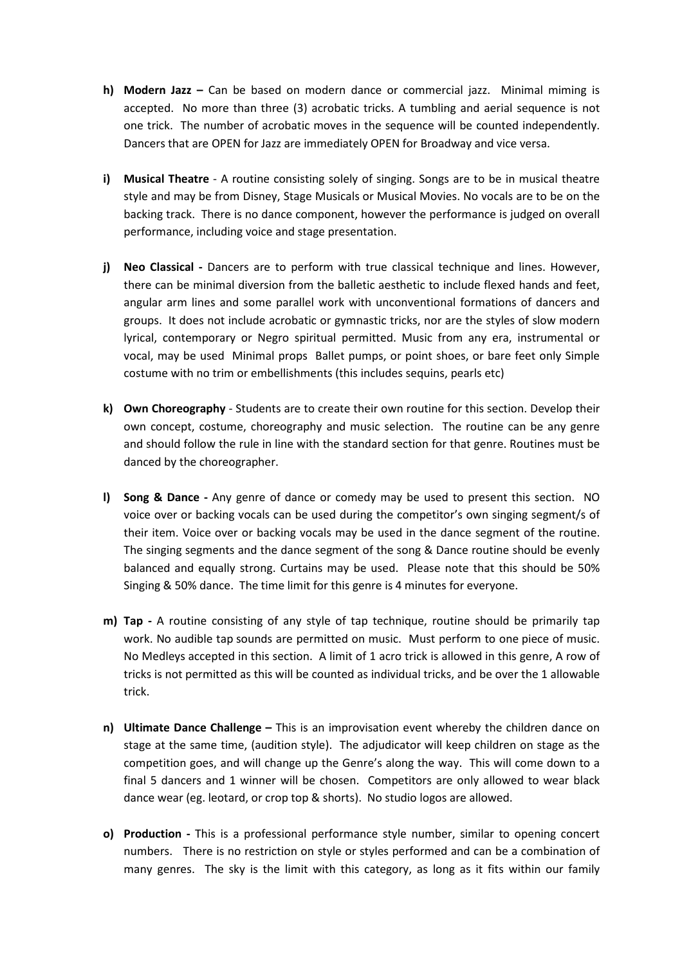- **h) Modern Jazz –** Can be based on modern dance or commercial jazz. Minimal miming is accepted. No more than three (3) acrobatic tricks. A tumbling and aerial sequence is not one trick. The number of acrobatic moves in the sequence will be counted independently. Dancers that are OPEN for Jazz are immediately OPEN for Broadway and vice versa.
- **i) Musical Theatre** A routine consisting solely of singing. Songs are to be in musical theatre style and may be from Disney, Stage Musicals or Musical Movies. No vocals are to be on the backing track. There is no dance component, however the performance is judged on overall performance, including voice and stage presentation.
- **j)** Neo Classical Dancers are to perform with true classical technique and lines. However, there can be minimal diversion from the balletic aesthetic to include flexed hands and feet, angular arm lines and some parallel work with unconventional formations of dancers and groups. It does not include acrobatic or gymnastic tricks, nor are the styles of slow modern lyrical, contemporary or Negro spiritual permitted. Music from any era, instrumental or vocal, may be used Minimal props Ballet pumps, or point shoes, or bare feet only Simple costume with no trim or embellishments (this includes sequins, pearls etc)
- **k) Own Choreography** Students are to create their own routine for this section. Develop their own concept, costume, choreography and music selection. The routine can be any genre and should follow the rule in line with the standard section for that genre. Routines must be danced by the choreographer.
- **l) Song & Dance** Any genre of dance or comedy may be used to present this section. NO voice over or backing vocals can be used during the competitor's own singing segment/s of their item. Voice over or backing vocals may be used in the dance segment of the routine. The singing segments and the dance segment of the song & Dance routine should be evenly balanced and equally strong. Curtains may be used. Please note that this should be 50% Singing & 50% dance. The time limit for this genre is 4 minutes for everyone.
- **m) Tap** A routine consisting of any style of tap technique, routine should be primarily tap work. No audible tap sounds are permitted on music. Must perform to one piece of music. No Medleys accepted in this section. A limit of 1 acro trick is allowed in this genre, A row of tricks is not permitted as this will be counted as individual tricks, and be over the 1 allowable trick.
- **n) Ultimate Dance Challenge** This is an improvisation event whereby the children dance on stage at the same time, (audition style). The adjudicator will keep children on stage as the competition goes, and will change up the Genre's along the way. This will come down to a final 5 dancers and 1 winner will be chosen. Competitors are only allowed to wear black dance wear (eg. leotard, or crop top & shorts). No studio logos are allowed.
- **o) Production** This is a professional performance style number, similar to opening concert numbers. There is no restriction on style or styles performed and can be a combination of many genres. The sky is the limit with this category, as long as it fits within our family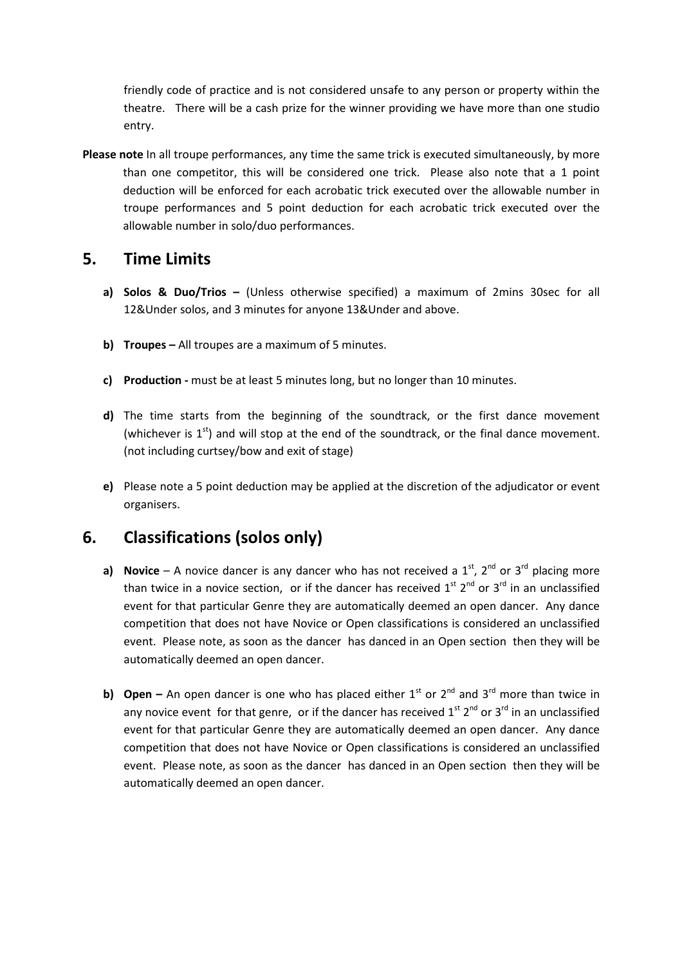friendly code of practice and is not considered unsafe to any person or property within the theatre. There will be a cash prize for the winner providing we have more than one studio entry.

**Please note** In all troupe performances, any time the same trick is executed simultaneously, by more than one competitor, this will be considered one trick. Please also note that a 1 point deduction will be enforced for each acrobatic trick executed over the allowable number in troupe performances and 5 point deduction for each acrobatic trick executed over the allowable number in solo/duo performances.

## **5. Time Limits**

- **a) Solos & Duo/Trios –** (Unless otherwise specified) a maximum of 2mins 30sec for all 12&Under solos, and 3 minutes for anyone 13&Under and above.
- **b) Troupes** All troupes are a maximum of 5 minutes.
- **c) Production** must be at least 5 minutes long, but no longer than 10 minutes.
- **d)** The time starts from the beginning of the soundtrack, or the first dance movement (whichever is  $1<sup>st</sup>$ ) and will stop at the end of the soundtrack, or the final dance movement. (not including curtsey/bow and exit of stage)
- **e)** Please note a 5 point deduction may be applied at the discretion of the adjudicator or event organisers.

## **6. Classifications (solos only)**

- **a) Novice** A novice dancer is any dancer who has not received a  $1^{st}$ ,  $2^{nd}$  or  $3^{rd}$  placing more than twice in a novice section, or if the dancer has received  $1<sup>st</sup>$  2<sup>nd</sup> or 3<sup>rd</sup> in an unclassified event for that particular Genre they are automatically deemed an open dancer. Any dance competition that does not have Novice or Open classifications is considered an unclassified event. Please note, as soon as the dancer has danced in an Open section then they will be automatically deemed an open dancer.
- **b)** Open An open dancer is one who has placed either  $1^{st}$  or  $2^{nd}$  and  $3^{rd}$  more than twice in any novice event for that genre, or if the dancer has received  $1^{st}$   $2^{nd}$  or  $3^{rd}$  in an unclassified event for that particular Genre they are automatically deemed an open dancer. Any dance competition that does not have Novice or Open classifications is considered an unclassified event. Please note, as soon as the dancer has danced in an Open section then they will be automatically deemed an open dancer.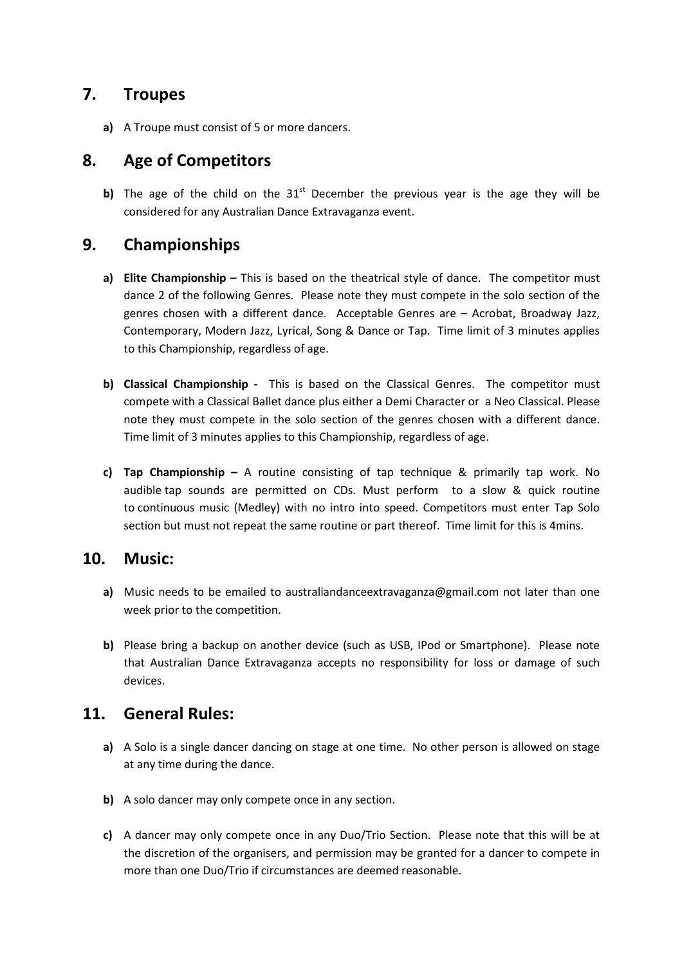#### **7. Troupes**

**a)** A Troupe must consist of 5 or more dancers.

## **8. Age of Competitors**

**b)** The age of the child on the  $31<sup>st</sup>$  December the previous year is the age they will be considered for any Australian Dance Extravaganza event.

### **9. Championships**

- **a) Elite Championship** This is based on the theatrical style of dance. The competitor must dance 2 of the following Genres. Please note they must compete in the solo section of the genres chosen with a different dance. Acceptable Genres are – Acrobat, Broadway Jazz, Contemporary, Modern Jazz, Lyrical, Song & Dance or Tap. Time limit of 3 minutes applies to this Championship, regardless of age.
- **b) Classical Championship -** This is based on the Classical Genres. The competitor must compete with a Classical Ballet dance plus either a Demi Character or a Neo Classical. Please note they must compete in the solo section of the genres chosen with a different dance. Time limit of 3 minutes applies to this Championship, regardless of age.
- **c) Tap Championship –** A routine consisting of tap technique & primarily tap work. No audible tap sounds are permitted on CDs. Must perform to a slow & quick routine to continuous music (Medley) with no intro into speed. Competitors must enter Tap Solo section but must not repeat the same routine or part thereof. Time limit for this is 4mins.

#### **10. Music:**

- **a)** Music needs to be emailed to australiandanceextravaganza@gmail.com not later than one week prior to the competition.
- **b)** Please bring a backup on another device (such as USB, IPod or Smartphone). Please note that Australian Dance Extravaganza accepts no responsibility for loss or damage of such devices.

#### **11. General Rules:**

- **a)** A Solo is a single dancer dancing on stage at one time. No other person is allowed on stage at any time during the dance.
- **b)** A solo dancer may only compete once in any section.
- **c)** A dancer may only compete once in any Duo/Trio Section. Please note that this will be at the discretion of the organisers, and permission may be granted for a dancer to compete in more than one Duo/Trio if circumstances are deemed reasonable.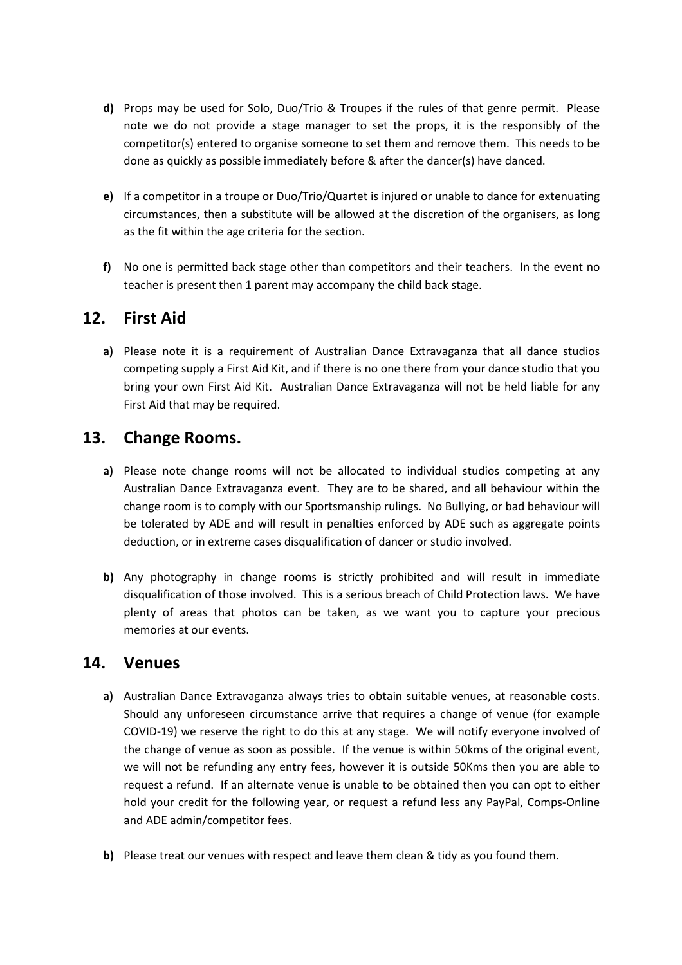- **d)** Props may be used for Solo, Duo/Trio & Troupes if the rules of that genre permit. Please note we do not provide a stage manager to set the props, it is the responsibly of the competitor(s) entered to organise someone to set them and remove them. This needs to be done as quickly as possible immediately before & after the dancer(s) have danced.
- **e)** If a competitor in a troupe or Duo/Trio/Quartet is injured or unable to dance for extenuating circumstances, then a substitute will be allowed at the discretion of the organisers, as long as the fit within the age criteria for the section.
- **f)** No one is permitted back stage other than competitors and their teachers. In the event no teacher is present then 1 parent may accompany the child back stage.

### **12. First Aid**

**a)** Please note it is a requirement of Australian Dance Extravaganza that all dance studios competing supply a First Aid Kit, and if there is no one there from your dance studio that you bring your own First Aid Kit. Australian Dance Extravaganza will not be held liable for any First Aid that may be required.

### **13. Change Rooms.**

- **a)** Please note change rooms will not be allocated to individual studios competing at any Australian Dance Extravaganza event. They are to be shared, and all behaviour within the change room is to comply with our Sportsmanship rulings. No Bullying, or bad behaviour will be tolerated by ADE and will result in penalties enforced by ADE such as aggregate points deduction, or in extreme cases disqualification of dancer or studio involved.
- **b)** Any photography in change rooms is strictly prohibited and will result in immediate disqualification of those involved. This is a serious breach of Child Protection laws. We have plenty of areas that photos can be taken, as we want you to capture your precious memories at our events.

#### **14. Venues**

- **a)** Australian Dance Extravaganza always tries to obtain suitable venues, at reasonable costs. Should any unforeseen circumstance arrive that requires a change of venue (for example COVID-19) we reserve the right to do this at any stage. We will notify everyone involved of the change of venue as soon as possible. If the venue is within 50kms of the original event, we will not be refunding any entry fees, however it is outside 50Kms then you are able to request a refund. If an alternate venue is unable to be obtained then you can opt to either hold your credit for the following year, or request a refund less any PayPal, Comps-Online and ADE admin/competitor fees.
- **b)** Please treat our venues with respect and leave them clean & tidy as you found them.